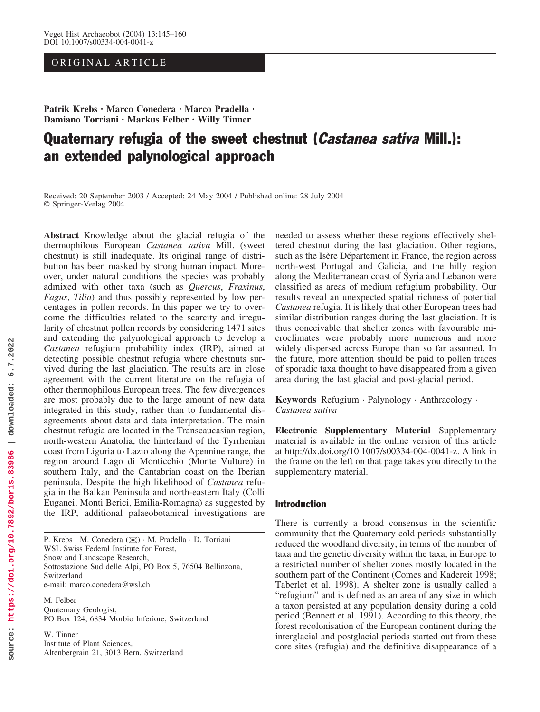# ORIGINAL ARTICLE

Patrik Krebs · Marco Conedera · Marco Pradella · Damiano Torriani · Markus Felber · Willy Tinner

# Quaternary refugia of the sweet chestnut (*Castanea sativa* Mill.): an extended palynological approach

Received: 20 September 2003 / Accepted: 24 May 2004 / Published online: 28 July 2004 Springer-Verlag 2004

Abstract Knowledge about the glacial refugia of the thermophilous European Castanea sativa Mill. (sweet chestnut) is still inadequate. Its original range of distribution has been masked by strong human impact. Moreover, under natural conditions the species was probably admixed with other taxa (such as Quercus, Fraxinus, Fagus, Tilia) and thus possibly represented by low percentages in pollen records. In this paper we try to overcome the difficulties related to the scarcity and irregularity of chestnut pollen records by considering 1471 sites and extending the palynological approach to develop a Castanea refugium probability index (IRP), aimed at detecting possible chestnut refugia where chestnuts survived during the last glaciation. The results are in close agreement with the current literature on the refugia of other thermophilous European trees. The few divergences are most probably due to the large amount of new data integrated in this study, rather than to fundamental disagreements about data and data interpretation. The main chestnut refugia are located in the Transcaucasian region, north-western Anatolia, the hinterland of the Tyrrhenian coast from Liguria to Lazio along the Apennine range, the region around Lago di Monticchio (Monte Vulture) in southern Italy, and the Cantabrian coast on the Iberian peninsula. Despite the high likelihood of Castanea refugia in the Balkan Peninsula and north-eastern Italy (Colli Euganei, Monti Berici, Emilia-Romagna) as suggested by the IRP, additional palaeobotanical investigations are

P. Krebs · M. Conedera ( $\blacktriangleright$ ) · M. Pradella · D. Torriani WSL Swiss Federal Institute for Forest, Snow and Landscape Research, Sottostazione Sud delle Alpi, PO Box 5, 76504 Bellinzona, Switzerland e-mail: marco.conedera@wsl.ch

M. Felber Quaternary Geologist, PO Box 124, 6834 Morbio Inferiore, Switzerland

W. Tinner Institute of Plant Sciences, Altenbergrain 21, 3013 Bern, Switzerland needed to assess whether these regions effectively sheltered chestnut during the last glaciation. Other regions, such as the Isère Département in France, the region across north-west Portugal and Galicia, and the hilly region along the Mediterranean coast of Syria and Lebanon were classified as areas of medium refugium probability. Our results reveal an unexpected spatial richness of potential Castanea refugia. It is likely that other European trees had similar distribution ranges during the last glaciation. It is thus conceivable that shelter zones with favourable microclimates were probably more numerous and more widely dispersed across Europe than so far assumed. In the future, more attention should be paid to pollen traces of sporadic taxa thought to have disappeared from a given area during the last glacial and post-glacial period.

Keywords Refugium · Palynology · Anthracology · Castanea sativa

Electronic Supplementary Material Supplementary material is available in the online version of this article at http://dx.doi.org/10.1007/s00334-004-0041-z. A link in the frame on the left on that page takes you directly to the supplementary material.

## Introduction

There is currently a broad consensus in the scientific community that the Quaternary cold periods substantially reduced the woodland diversity, in terms of the number of taxa and the genetic diversity within the taxa, in Europe to a restricted number of shelter zones mostly located in the southern part of the Continent (Comes and Kadereit 1998; Taberlet et al. 1998). A shelter zone is usually called a "refugium" and is defined as an area of any size in which a taxon persisted at any population density during a cold period (Bennett et al. 1991). According to this theory, the forest recolonisation of the European continent during the interglacial and postglacial periods started out from these core sites (refugia) and the definitive disappearance of a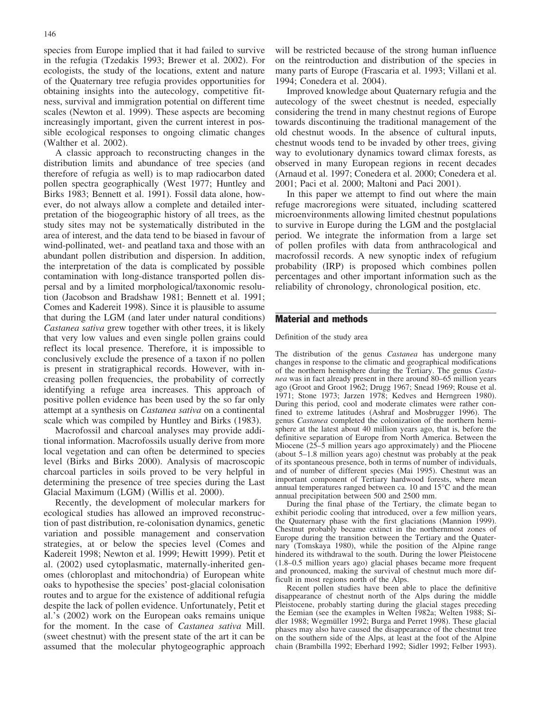species from Europe implied that it had failed to survive in the refugia (Tzedakis 1993; Brewer et al. 2002). For ecologists, the study of the locations, extent and nature of the Quaternary tree refugia provides opportunities for obtaining insights into the autecology, competitive fitness, survival and immigration potential on different time scales (Newton et al. 1999). These aspects are becoming increasingly important, given the current interest in possible ecological responses to ongoing climatic changes (Walther et al. 2002).

A classic approach to reconstructing changes in the distribution limits and abundance of tree species (and therefore of refugia as well) is to map radiocarbon dated pollen spectra geographically (West 1977; Huntley and Birks 1983; Bennett et al. 1991). Fossil data alone, however, do not always allow a complete and detailed interpretation of the biogeographic history of all trees, as the study sites may not be systematically distributed in the area of interest, and the data tend to be biased in favour of wind-pollinated, wet- and peatland taxa and those with an abundant pollen distribution and dispersion. In addition, the interpretation of the data is complicated by possible contamination with long-distance transported pollen dispersal and by a limited morphological/taxonomic resolution (Jacobson and Bradshaw 1981; Bennett et al. 1991; Comes and Kadereit 1998). Since it is plausible to assume that during the LGM (and later under natural conditions) Castanea sativa grew together with other trees, it is likely that very low values and even single pollen grains could reflect its local presence. Therefore, it is impossible to conclusively exclude the presence of a taxon if no pollen is present in stratigraphical records. However, with increasing pollen frequencies, the probability of correctly identifying a refuge area increases. This approach of positive pollen evidence has been used by the so far only attempt at a synthesis on Castanea sativa on a continental scale which was compiled by Huntley and Birks (1983).

Macrofossil and charcoal analyses may provide additional information. Macrofossils usually derive from more local vegetation and can often be determined to species level (Birks and Birks 2000). Analysis of macroscopic charcoal particles in soils proved to be very helpful in determining the presence of tree species during the Last Glacial Maximum (LGM) (Willis et al. 2000).

Recently, the development of molecular markers for ecological studies has allowed an improved reconstruction of past distribution, re-colonisation dynamics, genetic variation and possible management and conservation strategies, at or below the species level (Comes and Kadereit 1998; Newton et al. 1999; Hewitt 1999). Petit et al. (2002) used cytoplasmatic, maternally-inherited genomes (chloroplast and mitochondria) of European white oaks to hypothesise the species' post-glacial colonisation routes and to argue for the existence of additional refugia despite the lack of pollen evidence. Unfortunately, Petit et al.'s (2002) work on the European oaks remains unique for the moment. In the case of Castanea sativa Mill. (sweet chestnut) with the present state of the art it can be assumed that the molecular phytogeographic approach

will be restricted because of the strong human influence on the reintroduction and distribution of the species in many parts of Europe (Frascaria et al. 1993; Villani et al. 1994; Conedera et al. 2004).

Improved knowledge about Quaternary refugia and the autecology of the sweet chestnut is needed, especially considering the trend in many chestnut regions of Europe towards discontinuing the traditional management of the old chestnut woods. In the absence of cultural inputs, chestnut woods tend to be invaded by other trees, giving way to evolutionary dynamics toward climax forests, as observed in many European regions in recent decades (Arnaud et al. 1997; Conedera et al. 2000; Conedera et al. 2001; Paci et al. 2000; Maltoni and Paci 2001).

In this paper we attempt to find out where the main refuge macroregions were situated, including scattered microenvironments allowing limited chestnut populations to survive in Europe during the LGM and the postglacial period. We integrate the information from a large set of pollen profiles with data from anthracological and macrofossil records. A new synoptic index of refugium probability (IRP) is proposed which combines pollen percentages and other important information such as the reliability of chronology, chronological position, etc.

### Material and methods

#### Definition of the study area

The distribution of the genus Castanea has undergone many changes in response to the climatic and geographical modifications of the northern hemisphere during the Tertiary. The genus Castanea was in fact already present in there around 80–65 million years ago (Groot and Groot 1962; Drugg 1967; Snead 1969; Rouse et al. 1971; Stone 1973; Jarzen 1978; Kedves and Herngreen 1980). During this period, cool and moderate climates were rather confined to extreme latitudes (Ashraf and Mosbrugger 1996). The genus Castanea completed the colonization of the northern hemisphere at the latest about 40 million years ago, that is, before the definitive separation of Europe from North America. Between the Miocene (25–5 million years ago approximately) and the Pliocene (about 5–1.8 million years ago) chestnut was probably at the peak of its spontaneous presence, both in terms of number of individuals, and of number of different species (Mai 1995). Chestnut was an important component of Tertiary hardwood forests, where mean annual temperatures ranged between ca. 10 and  $15^{\circ}$ C and the mean annual precipitation between 500 and 2500 mm.

During the final phase of the Tertiary, the climate began to exhibit periodic cooling that introduced, over a few million years, the Quaternary phase with the first glaciations (Mannion 1999). Chestnut probably became extinct in the northernmost zones of Europe during the transition between the Tertiary and the Quaternary (Tomskaya 1980), while the position of the Alpine range hindered its withdrawal to the south. During the lower Pleistocene (1.8–0.5 million years ago) glacial phases became more frequent and pronounced, making the survival of chestnut much more difficult in most regions north of the Alps.

Recent pollen studies have been able to place the definitive disappearance of chestnut north of the Alps during the middle Pleistocene, probably starting during the glacial stages preceding the Eemian (see the examples in Welten 1982a; Welten 1988; Sidler 1988; Wegmüller 1992; Burga and Perret 1998). These glacial phases may also have caused the disappearance of the chestnut tree on the southern side of the Alps, at least at the foot of the Alpine chain (Brambilla 1992; Eberhard 1992; Sidler 1992; Felber 1993).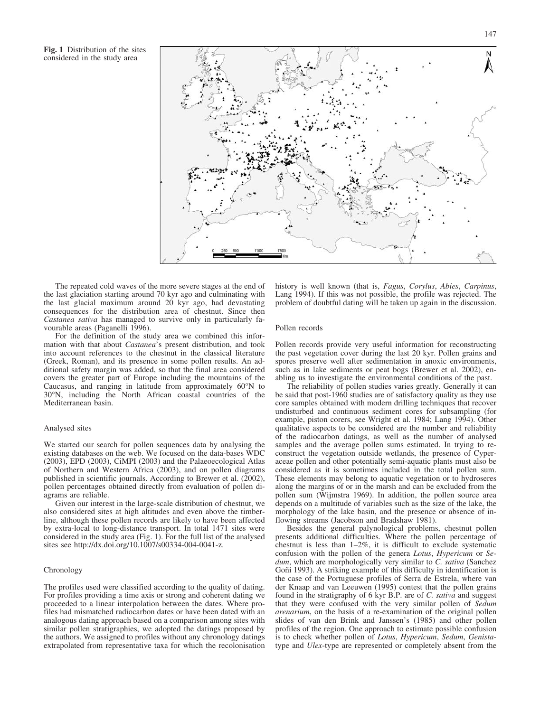Fig. 1 Distribution of the sites considered in the study area



The repeated cold waves of the more severe stages at the end of the last glaciation starting around 70 kyr ago and culminating with the last glacial maximum around 20 kyr ago, had devastating consequences for the distribution area of chestnut. Since then Castanea sativa has managed to survive only in particularly favourable areas (Paganelli 1996).

For the definition of the study area we combined this information with that about Castanea's present distribution, and took into account references to the chestnut in the classical literature (Greek, Roman), and its presence in some pollen results. An additional safety margin was added, so that the final area considered covers the greater part of Europe including the mountains of the Caucasus, and ranging in latitude from approximately  $60^{\circ}$ N to 30N, including the North African coastal countries of the Mediterranean basin.

#### Analysed sites

We started our search for pollen sequences data by analysing the existing databases on the web. We focused on the data-bases WDC (2003), EPD (2003), CiMPI (2003) and the Palaeoecological Atlas of Northern and Western Africa (2003), and on pollen diagrams published in scientific journals. According to Brewer et al. (2002), pollen percentages obtained directly from evaluation of pollen diagrams are reliable.

Given our interest in the large-scale distribution of chestnut, we also considered sites at high altitudes and even above the timberline, although these pollen records are likely to have been affected by extra-local to long-distance transport. In total 1471 sites were considered in the study area (Fig. 1). For the full list of the analysed sites see http://dx.doi.org/10.1007/s00334-004-0041-z.

#### Chronology

The profiles used were classified according to the quality of dating. For profiles providing a time axis or strong and coherent dating we proceeded to a linear interpolation between the dates. Where profiles had mismatched radiocarbon dates or have been dated with an analogous dating approach based on a comparison among sites with similar pollen stratigraphies, we adopted the datings proposed by the authors. We assigned to profiles without any chronology datings extrapolated from representative taxa for which the recolonisation history is well known (that is, Fagus, Corylus, Abies, Carpinus, Lang 1994). If this was not possible, the profile was rejected. The problem of doubtful dating will be taken up again in the discussion.

#### Pollen records

Pollen records provide very useful information for reconstructing the past vegetation cover during the last 20 kyr. Pollen grains and spores preserve well after sedimentation in anoxic environments, such as in lake sediments or peat bogs (Brewer et al. 2002), enabling us to investigate the environmental conditions of the past.

The reliability of pollen studies varies greatly. Generally it can be said that post-1960 studies are of satisfactory quality as they use core samples obtained with modern drilling techniques that recover undisturbed and continuous sediment cores for subsampling (for example, piston corers, see Wright et al. 1984; Lang 1994). Other qualitative aspects to be considered are the number and reliability of the radiocarbon datings, as well as the number of analysed samples and the average pollen sums estimated. In trying to reconstruct the vegetation outside wetlands, the presence of Cyperaceae pollen and other potentially semi-aquatic plants must also be considered as it is sometimes included in the total pollen sum. These elements may belong to aquatic vegetation or to hydroseres along the margins of or in the marsh and can be excluded from the pollen sum (Wijmstra 1969). In addition, the pollen source area depends on a multitude of variables such as the size of the lake, the morphology of the lake basin, and the presence or absence of inflowing streams (Jacobson and Bradshaw 1981).

Besides the general palynological problems, chestnut pollen presents additional difficulties. Where the pollen percentage of chestnut is less than 1–2%, it is difficult to exclude systematic confusion with the pollen of the genera Lotus, Hypericum or Sedum, which are morphologically very similar to C. sativa (Sanchez Goñi 1993). A striking example of this difficulty in identification is the case of the Portuguese profiles of Serra de Estrela, where van der Knaap and van Leeuwen (1995) contest that the pollen grains found in the stratigraphy of 6 kyr B.P. are of  $C$ . sativa and suggest that they were confused with the very similar pollen of Sedum arenarium, on the basis of a re-examination of the original pollen slides of van den Brink and Janssen's (1985) and other pollen profiles of the region. One approach to estimate possible confusion is to check whether pollen of Lotus, Hypericum, Sedum, Genistatype and Ulex-type are represented or completely absent from the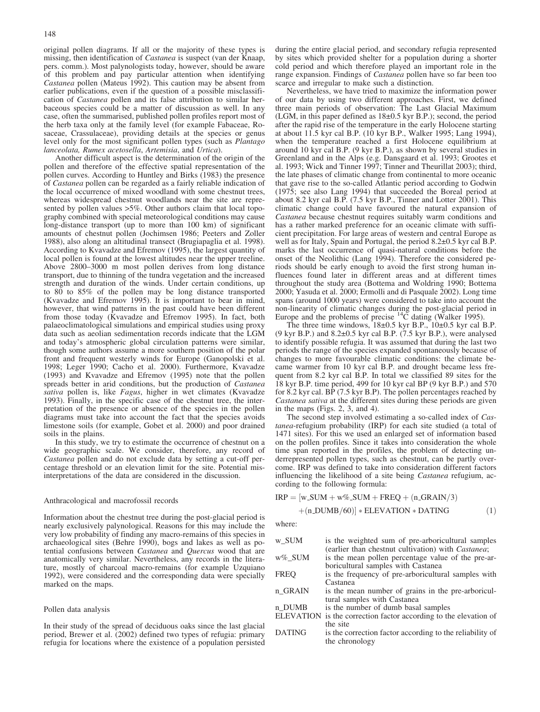original pollen diagrams. If all or the majority of these types is missing, then identification of *Castanea* is suspect (van der Knaap, pers. comm.). Most palynologists today, however, should be aware of this problem and pay particular attention when identifying Castanea pollen (Mateus 1992). This caution may be absent from earlier publications, even if the question of a possible misclassification of Castanea pollen and its false attribution to similar herbaceous species could be a matter of discussion as well. In any case, often the summarised, published pollen profiles report most of the herb taxa only at the family level (for example Fabaceae, Rosaceae, Crassulaceae), providing details at the species or genus level only for the most significant pollen types (such as Plantago lanceolata, Rumex acetosella, Artemisia, and Urtica).

Another difficult aspect is the determination of the origin of the pollen and therefore of the effective spatial representation of the pollen curves. According to Huntley and Birks (1983) the presence of Castanea pollen can be regarded as a fairly reliable indication of the local occurrence of mixed woodland with some chestnut trees, whereas widespread chestnut woodlands near the site are represented by pollen values >5%. Other authors claim that local topography combined with special meteorological conditions may cause long-distance transport (up to more than 100 km) of significant amounts of chestnut pollen (Jochimsen 1986; Peeters and Zoller 1988), also along an altitudinal transect (Brugiapaglia et al. 1998). According to Kvavadze and Efremov (1995), the largest quantity of local pollen is found at the lowest altitudes near the upper treeline. Above 2800–3000 m most pollen derives from long distance transport, due to thinning of the tundra vegetation and the increased strength and duration of the winds. Under certain conditions, up to 80 to 85% of the pollen may be long distance transported (Kvavadze and Efremov 1995). It is important to bear in mind, however, that wind patterns in the past could have been different from those today (Kvavadze and Efremov 1995). In fact, both palaeoclimatological simulations and empirical studies using proxy data such as aeolian sedimentation records indicate that the LGM and today's atmospheric global circulation patterns were similar, though some authors assume a more southern position of the polar front and frequent westerly winds for Europe (Ganopolski et al. 1998; Leger 1990; Cacho et al. 2000). Furthermore, Kvavadze (1993) and Kvavadze and Efremov (1995) note that the pollen spreads better in arid conditions, but the production of Castanea sativa pollen is, like Fagus, higher in wet climates (Kvavadze 1993). Finally, in the specific case of the chestnut tree, the interpretation of the presence or absence of the species in the pollen diagrams must take into account the fact that the species avoids limestone soils (for example, Gobet et al. 2000) and poor drained soils in the plains.

In this study, we try to estimate the occurrence of chestnut on a wide geographic scale. We consider, therefore, any record of Castanea pollen and do not exclude data by setting a cut-off percentage threshold or an elevation limit for the site. Potential misinterpretations of the data are considered in the discussion.

#### Anthracological and macrofossil records

Information about the chestnut tree during the post-glacial period is nearly exclusively palynological. Reasons for this may include the very low probability of finding any macro-remains of this species in archaeological sites (Behre 1990), bogs and lakes as well as potential confusions between Castanea and Quercus wood that are anatomically very similar. Nevertheless, any records in the literature, mostly of charcoal macro-remains (for example Uzquiano 1992), were considered and the corresponding data were specially marked on the maps.

#### Pollen data analysis

In their study of the spread of deciduous oaks since the last glacial period, Brewer et al. (2002) defined two types of refugia: primary refugia for locations where the existence of a population persisted during the entire glacial period, and secondary refugia represented by sites which provided shelter for a population during a shorter cold period and which therefore played an important role in the range expansion. Findings of *Castanea* pollen have so far been too scarce and irregular to make such a distinction.

Nevertheless, we have tried to maximize the information power of our data by using two different approaches. First, we defined three main periods of observation: The Last Glacial Maximum (LGM, in this paper defined as  $18\pm0.5$  kyr B.P.); second, the period after the rapid rise of the temperature in the early Holocene starting at about 11.5 kyr cal B.P. (10 kyr B.P., Walker 1995; Lang 1994), when the temperature reached a first Holocene equilibrium at around 10 kyr cal B.P. (9 kyr B.P.), as shown by several studies in Greenland and in the Alps (e.g. Dansgaard et al. 1993; Grootes et al. 1993; Wick and Tinner 1997; Tinner and Theurillat 2003); third, the late phases of climatic change from continental to more oceanic that gave rise to the so-called Atlantic period according to Godwin (1975; see also Lang 1994) that succeeded the Boreal period at about 8.2 kyr cal B.P. (7.5 kyr B.P., Tinner and Lotter 2001). This climatic change could have favoured the natural expansion of Castanea because chestnut requires suitably warm conditions and has a rather marked preference for an oceanic climate with sufficient precipitation. For large areas of western and central Europe as well as for Italy, Spain and Portugal, the period 8.2±0.5 kyr cal B.P. marks the last occurrence of quasi-natural conditions before the onset of the Neolithic (Lang 1994). Therefore the considered periods should be early enough to avoid the first strong human influences found later in different areas and at different times throughout the study area (Bottema and Woldring 1990; Bottema 2000; Yasuda et al. 2000; Ermolli and di Pasquale 2002). Long time spans (around 1000 years) were considered to take into account the non-linearity of climatic changes during the post-glacial period in Europe and the problems of precise <sup>14</sup>C dating (Walker 1995).

The three time windows,  $18±0.5$  kyr B.P.,  $10±0.5$  kyr cal B.P. (9 kyr B.P.) and 8.2€0.5 kyr cal B.P. (7.5 kyr B.P.), were analysed to identify possible refugia. It was assumed that during the last two periods the range of the species expanded spontaneously because of changes to more favourable climatic conditions: the climate became warmer from 10 kyr cal B.P. and drought became less frequent from 8.2 kyr cal B.P. In total we classified 89 sites for the 18 kyr B.P. time period, 499 for 10 kyr cal BP (9 kyr B.P.) and 570 for 8.2 kyr cal. BP (7.5 kyr B.P). The pollen percentages reached by Castanea sativa at the different sites during these periods are given in the maps (Figs. 2, 3, and 4).

The second step involved estimating a so-called index of Castanea-refugium probability (IRP) for each site studied (a total of 1471 sites). For this we used an enlarged set of information based on the pollen profiles. Since it takes into consideration the whole time span reported in the profiles, the problem of detecting underrepresented pollen types, such as chestnut, can be partly overcome. IRP was defined to take into consideration different factors influencing the likelihood of a site being *Castanea* refugium, according to the following formula:

$$
IRP = [w_SUM + w\%_SUM + FREQ + (n_GRAIN/3)
$$

$$
+(n_DUMB/60)] * ELEVATION * DATING
$$
 (1)

where:

| is the weighted sum of pre-arboricultural samples                |
|------------------------------------------------------------------|
| (earlier than chestnut cultivation) with <i>Castanea</i> ;       |
| is the mean pollen percentage value of the pre-ar-               |
| boricultural samples with Castanea                               |
| is the frequency of pre-arboricultural samples with              |
| Castanea                                                         |
| is the mean number of grains in the pre-arboricul-               |
| tural samples with Castanea                                      |
| is the number of dumb basal samples                              |
| ELEVATION is the correction factor according to the elevation of |
| the site                                                         |
| is the correction factor according to the reliability of         |
| the chronology                                                   |
|                                                                  |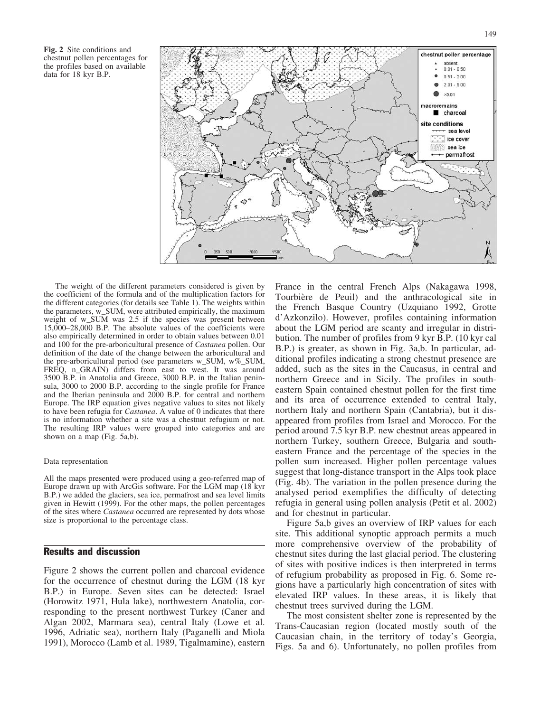Fig. 2 Site conditions and chestnut pollen percentages for the profiles based on available data for 18 kyr B.P.



The weight of the different parameters considered is given by the coefficient of the formula and of the multiplication factors for the different categories (for details see Table 1). The weights within the parameters, w\_SUM, were attributed empirically, the maximum weight of w\_SUM was 2.5 if the species was present between 15,000–28,000 B.P. The absolute values of the coefficients were also empirically determined in order to obtain values between 0.01 and 100 for the pre-arboricultural presence of Castanea pollen. Our definition of the date of the change between the arboricultural and the pre-arboricultural period (see parameters w\_SUM, w%\_SUM, FREQ, n\_GRAIN) differs from east to west. It was around 3500 B.P. in Anatolia and Greece, 3000 B.P. in the Italian peninsula, 3000 to 2000 B.P. according to the single profile for France and the Iberian peninsula and 2000 B.P. for central and northern Europe. The IRP equation gives negative values to sites not likely to have been refugia for Castanea. A value of 0 indicates that there is no information whether a site was a chestnut refugium or not. The resulting IRP values were grouped into categories and are shown on a map (Fig. 5a,b).

#### Data representation

All the maps presented were produced using a geo-referred map of Europe drawn up with ArcGis software. For the LGM map (18 kyr B.P.) we added the glaciers, sea ice, permafrost and sea level limits given in Hewitt (1999). For the other maps, the pollen percentages of the sites where Castanea occurred are represented by dots whose size is proportional to the percentage class.

## Results and discussion

Figure 2 shows the current pollen and charcoal evidence for the occurrence of chestnut during the LGM (18 kyr B.P.) in Europe. Seven sites can be detected: Israel (Horowitz 1971, Hula lake), northwestern Anatolia, corresponding to the present northwest Turkey (Caner and Algan 2002, Marmara sea), central Italy (Lowe et al. 1996, Adriatic sea), northern Italy (Paganelli and Miola 1991), Morocco (Lamb et al. 1989, Tigalmamine), eastern

France in the central French Alps (Nakagawa 1998, Tourbière de Peuil) and the anthracological site in the French Basque Country (Uzquiano 1992, Grotte d'Azkonzilo). However, profiles containing information about the LGM period are scanty and irregular in distribution. The number of profiles from 9 kyr B.P. (10 kyr cal B.P.) is greater, as shown in Fig. 3a,b. In particular, additional profiles indicating a strong chestnut presence are added, such as the sites in the Caucasus, in central and northern Greece and in Sicily. The profiles in southeastern Spain contained chestnut pollen for the first time and its area of occurrence extended to central Italy, northern Italy and northern Spain (Cantabria), but it disappeared from profiles from Israel and Morocco. For the period around 7.5 kyr B.P. new chestnut areas appeared in northern Turkey, southern Greece, Bulgaria and southeastern France and the percentage of the species in the pollen sum increased. Higher pollen percentage values suggest that long-distance transport in the Alps took place (Fig. 4b). The variation in the pollen presence during the analysed period exemplifies the difficulty of detecting refugia in general using pollen analysis (Petit et al. 2002) and for chestnut in particular.

Figure 5a,b gives an overview of IRP values for each site. This additional synoptic approach permits a much more comprehensive overview of the probability of chestnut sites during the last glacial period. The clustering of sites with positive indices is then interpreted in terms of refugium probability as proposed in Fig. 6. Some regions have a particularly high concentration of sites with elevated IRP values. In these areas, it is likely that chestnut trees survived during the LGM.

The most consistent shelter zone is represented by the Trans-Caucasian region (located mostly south of the Caucasian chain, in the territory of today's Georgia, Figs. 5a and 6). Unfortunately, no pollen profiles from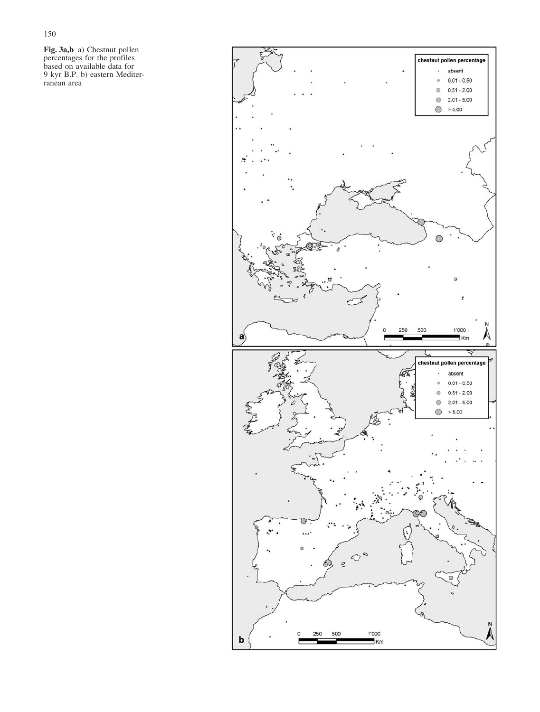Fig. 3a,b a) Chestnut pollen percentages for the profiles based on available data for 9 kyr B.P. b) eastern Mediterranean area

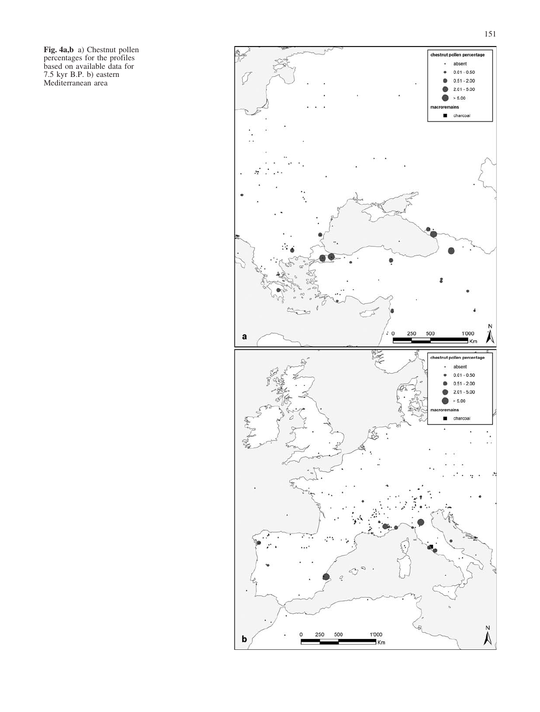Fig. 4a,b a) Chestnut pollen percentages for the profiles based on available data for 7.5 kyr B.P. b) eastern Mediterranean area

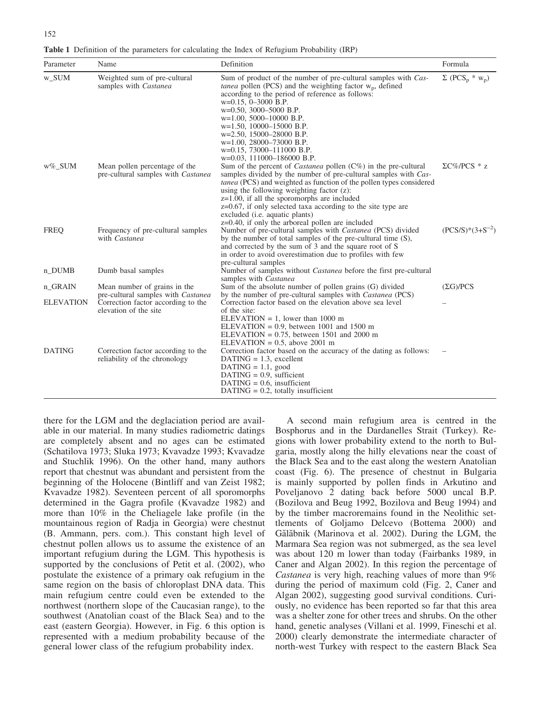|  |  |  |  |  | Table 1 Definition of the parameters for calculating the Index of Refugium Probability (IRP) |  |
|--|--|--|--|--|----------------------------------------------------------------------------------------------|--|
|  |  |  |  |  |                                                                                              |  |

| Parameter        | Name                                                                | Definition                                                                                                                                                                                                                                                                                                                                                                                                                                                                                      | Formula                              |
|------------------|---------------------------------------------------------------------|-------------------------------------------------------------------------------------------------------------------------------------------------------------------------------------------------------------------------------------------------------------------------------------------------------------------------------------------------------------------------------------------------------------------------------------------------------------------------------------------------|--------------------------------------|
| w_SUM            | Weighted sum of pre-cultural<br>samples with Castanea               | Sum of product of the number of pre-cultural samples with Cas-<br><i>tanea</i> pollen (PCS) and the weighting factor $w_p$ , defined<br>according to the period of reference as follows:<br>$w=0.15$ , 0-3000 B.P.<br>$w=0.50$ , 3000-5000 B.P.<br>$w=1.00, 5000-10000 B.P.$<br>$w=1.50$ , 10000-15000 B.P.<br>$w=2.50$ , 15000-28000 B.P.<br>$w=1.00$ , 28000-73000 B.P.<br>$w=0.15$ , 73000-111000 B.P.<br>$w=0.03$ , 111000-186000 B.P.                                                      | $\Sigma$ (PCS <sub>p</sub> * $w_p$ ) |
| w%_SUM           | Mean pollen percentage of the<br>pre-cultural samples with Castanea | Sum of the percent of <i>Castanea</i> pollen $(C\%)$ in the pre-cultural<br>samples divided by the number of pre-cultural samples with Cas-<br><i>tanea</i> (PCS) and weighted as function of the pollen types considered<br>using the following weighting factor $(z)$ :<br>$z=1.00$ , if all the sporomorphs are included<br>$z=0.67$ , if only selected taxa according to the site type are<br>excluded ( <i>i.e.</i> aquatic plants)<br>$z=0.40$ , if only the arboreal pollen are included | $\Sigma$ C%/PCS * z                  |
| <b>FREQ</b>      | Frequency of pre-cultural samples<br>with Castanea                  | Number of pre-cultural samples with <i>Castanea</i> (PCS) divided<br>by the number of total samples of the pre-cultural time (S),<br>and corrected by the sum of 3 and the square root of S<br>in order to avoid overestimation due to profiles with few<br>pre-cultural samples                                                                                                                                                                                                                | $(PCS/S)*(3+S^{-2})$                 |
| n_DUMB           | Dumb basal samples                                                  | Number of samples without <i>Castanea</i> before the first pre-cultural<br>samples with Castanea                                                                                                                                                                                                                                                                                                                                                                                                |                                      |
| n_GRAIN          | Mean number of grains in the<br>pre-cultural samples with Castanea  | Sum of the absolute number of pollen grains (G) divided<br>by the number of pre-cultural samples with <i>Castanea</i> (PCS)                                                                                                                                                                                                                                                                                                                                                                     | $(\Sigma G)/PCS$                     |
| <b>ELEVATION</b> | Correction factor according to the<br>elevation of the site         | Correction factor based on the elevation above sea level<br>of the site:<br>ELEVATION = 1, lower than $1000 \text{ m}$<br>ELEVATION = $0.9$ , between 1001 and 1500 m<br>ELEVATION = $0.75$ , between 1501 and 2000 m<br>ELEVATION = $0.5$ , above 2001 m                                                                                                                                                                                                                                       |                                      |
| <b>DATING</b>    | Correction factor according to the<br>reliability of the chronology | Correction factor based on the accuracy of the dating as follows:<br>$DATAING = 1.3$ , excellent<br>$DATAING = 1.1$ , good<br>$DATAING = 0.9$ , sufficient<br>$DATAING = 0.6$ , insufficient<br>$DATAING = 0.2$ , totally insufficient                                                                                                                                                                                                                                                          |                                      |

there for the LGM and the deglaciation period are available in our material. In many studies radiometric datings are completely absent and no ages can be estimated (Schatilova 1973; Sluka 1973; Kvavadze 1993; Kvavadze and Stuchlik 1996). On the other hand, many authors report that chestnut was abundant and persistent from the beginning of the Holocene (Bintliff and van Zeist 1982; Kvavadze 1982). Seventeen percent of all sporomorphs determined in the Gagra profile (Kvavadze 1982) and more than 10% in the Cheliagele lake profile (in the mountainous region of Radja in Georgia) were chestnut (B. Ammann, pers. com.). This constant high level of chestnut pollen allows us to assume the existence of an important refugium during the LGM. This hypothesis is supported by the conclusions of Petit et al. (2002), who postulate the existence of a primary oak refugium in the same region on the basis of chloroplast DNA data. This main refugium centre could even be extended to the northwest (northern slope of the Caucasian range), to the southwest (Anatolian coast of the Black Sea) and to the east (eastern Georgia). However, in Fig. 6 this option is represented with a medium probability because of the general lower class of the refugium probability index.

A second main refugium area is centred in the Bosphorus and in the Dardanelles Strait (Turkey). Regions with lower probability extend to the north to Bulgaria, mostly along the hilly elevations near the coast of the Black Sea and to the east along the western Anatolian coast (Fig. 6). The presence of chestnut in Bulgaria is mainly supported by pollen finds in Arkutino and Poveljanovo 2 dating back before 5000 uncal B.P. (Bozilova and Beug 1992, Bozilova and Beug 1994) and by the timber macroremains found in the Neolithic settlements of Goljamo Delcevo (Bottema 2000) and Gălăbnik (Marinova et al. 2002). During the LGM, the Marmara Sea region was not submerged, as the sea level was about 120 m lower than today (Fairbanks 1989, in Caner and Algan 2002). In this region the percentage of Castanea is very high, reaching values of more than 9% during the period of maximum cold (Fig. 2, Caner and Algan 2002), suggesting good survival conditions. Curiously, no evidence has been reported so far that this area was a shelter zone for other trees and shrubs. On the other hand, genetic analyses (Villani et al. 1999, Fineschi et al. 2000) clearly demonstrate the intermediate character of north-west Turkey with respect to the eastern Black Sea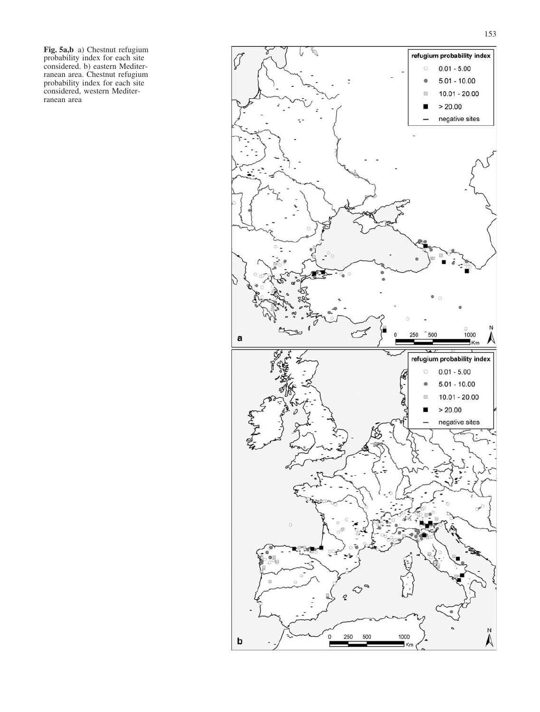Fig. 5a,b a) Chestnut refugium probability index for each site considered. b) eastern Mediterranean area. Chestnut refugium probability index for each site considered, western Mediterranean area

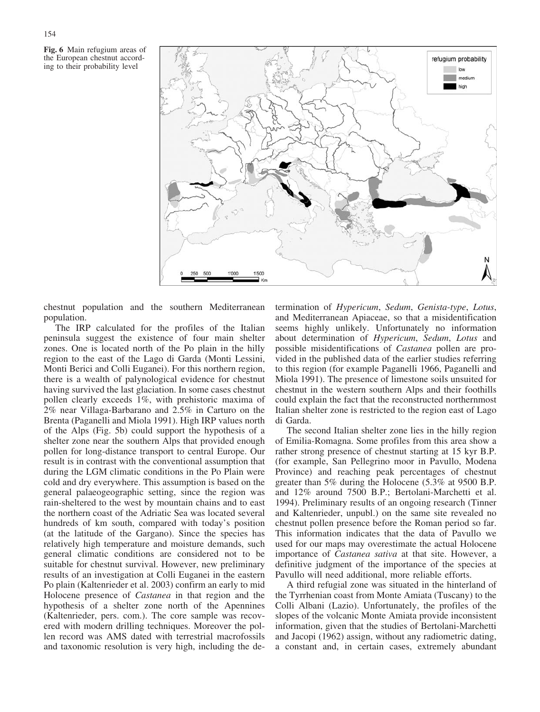154



chestnut population and the southern Mediterranean population.

The IRP calculated for the profiles of the Italian peninsula suggest the existence of four main shelter zones. One is located north of the Po plain in the hilly region to the east of the Lago di Garda (Monti Lessini, Monti Berici and Colli Euganei). For this northern region, there is a wealth of palynological evidence for chestnut having survived the last glaciation. In some cases chestnut pollen clearly exceeds 1%, with prehistoric maxima of 2% near Villaga-Barbarano and 2.5% in Carturo on the Brenta (Paganelli and Miola 1991). High IRP values north of the Alps (Fig. 5b) could support the hypothesis of a shelter zone near the southern Alps that provided enough pollen for long-distance transport to central Europe. Our result is in contrast with the conventional assumption that during the LGM climatic conditions in the Po Plain were cold and dry everywhere. This assumption is based on the general palaeogeographic setting, since the region was rain-sheltered to the west by mountain chains and to east the northern coast of the Adriatic Sea was located several hundreds of km south, compared with today's position (at the latitude of the Gargano). Since the species has relatively high temperature and moisture demands, such general climatic conditions are considered not to be suitable for chestnut survival. However, new preliminary results of an investigation at Colli Euganei in the eastern Po plain (Kaltenrieder et al. 2003) confirm an early to mid Holocene presence of Castanea in that region and the hypothesis of a shelter zone north of the Apennines (Kaltenrieder, pers. com.). The core sample was recovered with modern drilling techniques. Moreover the pollen record was AMS dated with terrestrial macrofossils and taxonomic resolution is very high, including the determination of Hypericum, Sedum, Genista-type, Lotus, and Mediterranean Apiaceae, so that a misidentification seems highly unlikely. Unfortunately no information about determination of Hypericum, Sedum, Lotus and possible misidentifications of Castanea pollen are provided in the published data of the earlier studies referring to this region (for example Paganelli 1966, Paganelli and Miola 1991). The presence of limestone soils unsuited for chestnut in the western southern Alps and their foothills could explain the fact that the reconstructed northernmost Italian shelter zone is restricted to the region east of Lago di Garda.

The second Italian shelter zone lies in the hilly region of Emilia-Romagna. Some profiles from this area show a rather strong presence of chestnut starting at 15 kyr B.P. (for example, San Pellegrino moor in Pavullo, Modena Province) and reaching peak percentages of chestnut greater than 5% during the Holocene (5.3% at 9500 B.P. and 12% around 7500 B.P.; Bertolani-Marchetti et al. 1994). Preliminary results of an ongoing research (Tinner and Kaltenrieder, unpubl.) on the same site revealed no chestnut pollen presence before the Roman period so far. This information indicates that the data of Pavullo we used for our maps may overestimate the actual Holocene importance of Castanea sativa at that site. However, a definitive judgment of the importance of the species at Pavullo will need additional, more reliable efforts.

A third refugial zone was situated in the hinterland of the Tyrrhenian coast from Monte Amiata (Tuscany) to the Colli Albani (Lazio). Unfortunately, the profiles of the slopes of the volcanic Monte Amiata provide inconsistent information, given that the studies of Bertolani-Marchetti and Jacopi (1962) assign, without any radiometric dating, a constant and, in certain cases, extremely abundant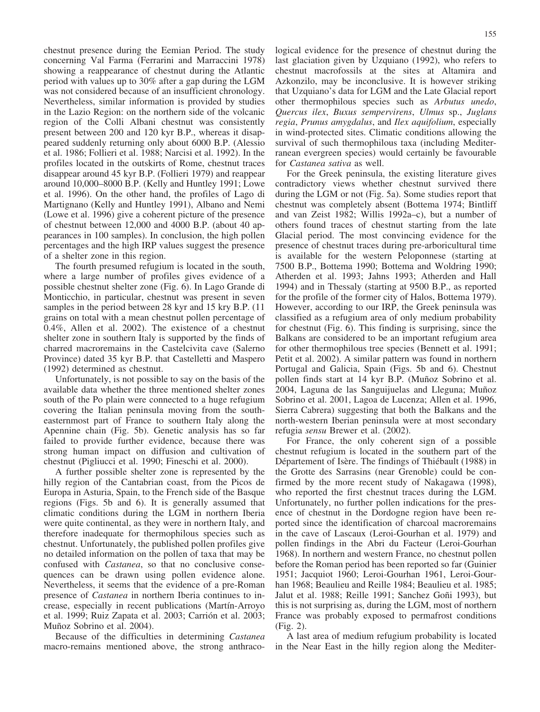chestnut presence during the Eemian Period. The study concerning Val Farma (Ferrarini and Marraccini 1978) showing a reappearance of chestnut during the Atlantic period with values up to 30% after a gap during the LGM was not considered because of an insufficient chronology. Nevertheless, similar information is provided by studies in the Lazio Region: on the northern side of the volcanic region of the Colli Albani chestnut was consistently present between 200 and 120 kyr B.P., whereas it disappeared suddenly returning only about 6000 B.P. (Alessio et al. 1986; Follieri et al. 1988; Narcisi et al. 1992). In the profiles located in the outskirts of Rome, chestnut traces disappear around 45 kyr B.P. (Follieri 1979) and reappear around 10,000–8000 B.P. (Kelly and Huntley 1991; Lowe et al. 1996). On the other hand, the profiles of Lago di Martignano (Kelly and Huntley 1991), Albano and Nemi (Lowe et al. 1996) give a coherent picture of the presence of chestnut between 12,000 and 4000 B.P. (about 40 appearances in 100 samples). In conclusion, the high pollen percentages and the high IRP values suggest the presence of a shelter zone in this region.

The fourth presumed refugium is located in the south, where a large number of profiles gives evidence of a possible chestnut shelter zone (Fig. 6). In Lago Grande di Monticchio, in particular, chestnut was present in seven samples in the period between 28 kyr and 15 kry B.P. (11 grains on total with a mean chestnut pollen percentage of 0.4%, Allen et al. 2002). The existence of a chestnut shelter zone in southern Italy is supported by the finds of charred macroremains in the Castelcivita cave (Salerno Province) dated 35 kyr B.P. that Castelletti and Maspero (1992) determined as chestnut.

Unfortunately, is not possible to say on the basis of the available data whether the three mentioned shelter zones south of the Po plain were connected to a huge refugium covering the Italian peninsula moving from the southeasternmost part of France to southern Italy along the Apennine chain (Fig. 5b). Genetic analysis has so far failed to provide further evidence, because there was strong human impact on diffusion and cultivation of chestnut (Pigliucci et al. 1990; Fineschi et al. 2000).

A further possible shelter zone is represented by the hilly region of the Cantabrian coast, from the Picos de Europa in Asturia, Spain, to the French side of the Basque regions (Figs. 5b and 6). It is generally assumed that climatic conditions during the LGM in northern Iberia were quite continental, as they were in northern Italy, and therefore inadequate for thermophilous species such as chestnut. Unfortunately, the published pollen profiles give no detailed information on the pollen of taxa that may be confused with Castanea, so that no conclusive consequences can be drawn using pollen evidence alone. Nevertheless, it seems that the evidence of a pre-Roman presence of Castanea in northern Iberia continues to increase, especially in recent publications (Martín-Arroyo et al. 1999; Ruiz Zapata et al. 2003; Carrión et al. 2003; Muñoz Sobrino et al. 2004).

Because of the difficulties in determining Castanea macro-remains mentioned above, the strong anthracological evidence for the presence of chestnut during the last glaciation given by Uzquiano (1992), who refers to chestnut macrofossils at the sites at Altamira and Azkonzilo, may be inconclusive. It is however striking that Uzquiano's data for LGM and the Late Glacial report other thermophilous species such as Arbutus unedo, Quercus ilex, Buxus sempervirens, Ulmus sp., Juglans regia, Prunus amygdalus, and Ilex aquifolium, especially in wind-protected sites. Climatic conditions allowing the survival of such thermophilous taxa (including Mediterranean evergreen species) would certainly be favourable for Castanea sativa as well.

For the Greek peninsula, the existing literature gives contradictory views whether chestnut survived there during the LGM or not (Fig. 5a). Some studies report that chestnut was completely absent (Bottema 1974; Bintliff and van Zeist 1982; Willis 1992a–c), but a number of others found traces of chestnut starting from the late Glacial period. The most convincing evidence for the presence of chestnut traces during pre-arboricultural time is available for the western Peloponnese (starting at 7500 B.P., Bottema 1990; Bottema and Woldring 1990; Atherden et al. 1993; Jahns 1993; Atherden and Hall 1994) and in Thessaly (starting at 9500 B.P., as reported for the profile of the former city of Halos, Bottema 1979). However, according to our IRP, the Greek peninsula was classified as a refugium area of only medium probability for chestnut (Fig. 6). This finding is surprising, since the Balkans are considered to be an important refugium area for other thermophilous tree species (Bennett et al. 1991; Petit et al. 2002). A similar pattern was found in northern Portugal and Galicia, Spain (Figs. 5b and 6). Chestnut pollen finds start at 14 kyr B.P. (Muñoz Sobrino et al. 2004, Laguna de las Sanguijuelas and Lleguna; Muñoz Sobrino et al. 2001, Lagoa de Lucenza; Allen et al. 1996, Sierra Cabrera) suggesting that both the Balkans and the north-western Iberian peninsula were at most secondary refugia sensu Brewer et al. (2002).

For France, the only coherent sign of a possible chestnut refugium is located in the southern part of the Département of Isère. The findings of Thiébault (1988) in the Grotte des Sarrasins (near Grenoble) could be confirmed by the more recent study of Nakagawa (1998), who reported the first chestnut traces during the LGM. Unfortunately, no further pollen indications for the presence of chestnut in the Dordogne region have been reported since the identification of charcoal macroremains in the cave of Lascaux (Leroi-Gourhan et al. 1979) and pollen findings in the Abri du Facteur (Leroi-Gourhan 1968). In northern and western France, no chestnut pollen before the Roman period has been reported so far (Guinier 1951; Jacquiot 1960; Leroi-Gourhan 1961, Leroi-Gourhan 1968; Beaulieu and Reille 1984; Beaulieu et al. 1985; Jalut et al. 1988; Reille 1991; Sanchez Goñi 1993), but this is not surprising as, during the LGM, most of northern France was probably exposed to permafrost conditions (Fig. 2).

A last area of medium refugium probability is located in the Near East in the hilly region along the Mediter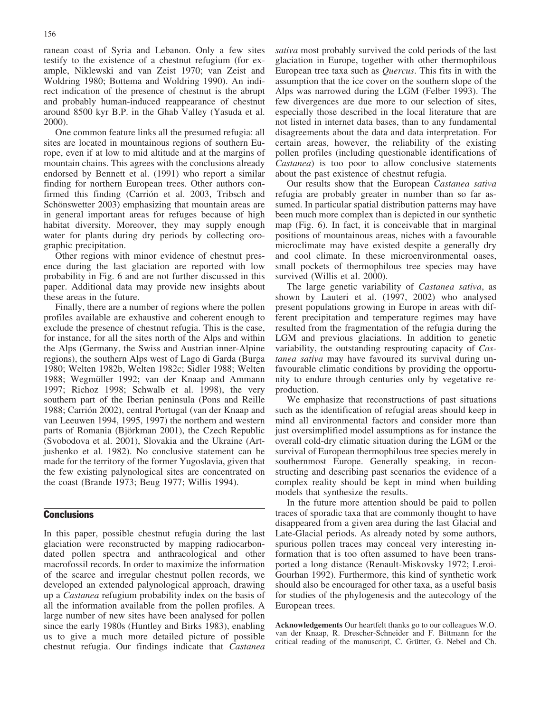ranean coast of Syria and Lebanon. Only a few sites testify to the existence of a chestnut refugium (for example, Niklewski and van Zeist 1970; van Zeist and Woldring 1980; Bottema and Woldring 1990). An indirect indication of the presence of chestnut is the abrupt and probably human-induced reappearance of chestnut around 8500 kyr B.P. in the Ghab Valley (Yasuda et al. 2000).

One common feature links all the presumed refugia: all sites are located in mountainous regions of southern Europe, even if at low to mid altitude and at the margins of mountain chains. This agrees with the conclusions already endorsed by Bennett et al. (1991) who report a similar finding for northern European trees. Other authors confirmed this finding (Carrión et al. 2003, Tribsch and Schönswetter 2003) emphasizing that mountain areas are in general important areas for refuges because of high habitat diversity. Moreover, they may supply enough water for plants during dry periods by collecting orographic precipitation.

Other regions with minor evidence of chestnut presence during the last glaciation are reported with low probability in Fig. 6 and are not further discussed in this paper. Additional data may provide new insights about these areas in the future.

Finally, there are a number of regions where the pollen profiles available are exhaustive and coherent enough to exclude the presence of chestnut refugia. This is the case, for instance, for all the sites north of the Alps and within the Alps (Germany, the Swiss and Austrian inner-Alpine regions), the southern Alps west of Lago di Garda (Burga 1980; Welten 1982b, Welten 1982c; Sidler 1988; Welten 1988; Wegmüller 1992; van der Knaap and Ammann 1997; Richoz 1998; Schwalb et al. 1998), the very southern part of the Iberian peninsula (Pons and Reille 1988; Carrión 2002), central Portugal (van der Knaap and van Leeuwen 1994, 1995, 1997) the northern and western parts of Romania (Björkman 2001), the Czech Republic (Svobodova et al. 2001), Slovakia and the Ukraine (Artjushenko et al. 1982). No conclusive statement can be made for the territory of the former Yugoslavia, given that the few existing palynological sites are concentrated on the coast (Brande 1973; Beug 1977; Willis 1994).

### **Conclusions**

In this paper, possible chestnut refugia during the last glaciation were reconstructed by mapping radiocarbondated pollen spectra and anthracological and other macrofossil records. In order to maximize the information of the scarce and irregular chestnut pollen records, we developed an extended palynological approach, drawing up a Castanea refugium probability index on the basis of all the information available from the pollen profiles. A large number of new sites have been analysed for pollen since the early 1980s (Huntley and Birks 1983), enabling us to give a much more detailed picture of possible chestnut refugia. Our findings indicate that Castanea

sativa most probably survived the cold periods of the last glaciation in Europe, together with other thermophilous European tree taxa such as Quercus. This fits in with the assumption that the ice cover on the southern slope of the Alps was narrowed during the LGM (Felber 1993). The few divergences are due more to our selection of sites, especially those described in the local literature that are not listed in internet data bases, than to any fundamental disagreements about the data and data interpretation. For certain areas, however, the reliability of the existing pollen profiles (including questionable identifications of Castanea) is too poor to allow conclusive statements about the past existence of chestnut refugia.

Our results show that the European Castanea sativa refugia are probably greater in number than so far assumed. In particular spatial distribution patterns may have been much more complex than is depicted in our synthetic map (Fig. 6). In fact, it is conceivable that in marginal positions of mountainous areas, niches with a favourable microclimate may have existed despite a generally dry and cool climate. In these microenvironmental oases, small pockets of thermophilous tree species may have survived (Willis et al. 2000).

The large genetic variability of Castanea sativa, as shown by Lauteri et al. (1997, 2002) who analysed present populations growing in Europe in areas with different precipitation and temperature regimes may have resulted from the fragmentation of the refugia during the LGM and previous glaciations. In addition to genetic variability, the outstanding resprouting capacity of Castanea sativa may have favoured its survival during unfavourable climatic conditions by providing the opportunity to endure through centuries only by vegetative reproduction.

We emphasize that reconstructions of past situations such as the identification of refugial areas should keep in mind all environmental factors and consider more than just oversimplified model assumptions as for instance the overall cold-dry climatic situation during the LGM or the survival of European thermophilous tree species merely in southernmost Europe. Generally speaking, in reconstructing and describing past scenarios the evidence of a complex reality should be kept in mind when building models that synthesize the results.

In the future more attention should be paid to pollen traces of sporadic taxa that are commonly thought to have disappeared from a given area during the last Glacial and Late-Glacial periods. As already noted by some authors, spurious pollen traces may conceal very interesting information that is too often assumed to have been transported a long distance (Renault-Miskovsky 1972; Leroi-Gourhan 1992). Furthermore, this kind of synthetic work should also be encouraged for other taxa, as a useful basis for studies of the phylogenesis and the autecology of the European trees.

Acknowledgements Our heartfelt thanks go to our colleagues W.O. van der Knaap, R. Drescher-Schneider and F. Bittmann for the critical reading of the manuscript, C. Grütter, G. Nebel and Ch.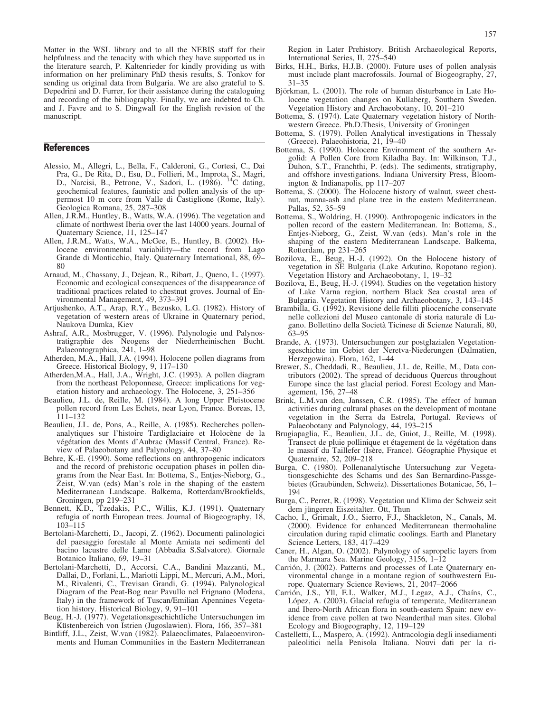Matter in the WSL library and to all the NEBIS staff for their helpfulness and the tenacity with which they have supported us in the literature search, P. Kaltenrieder for kindly providing us with information on her preliminary PhD thesis results, S. Tonkov for sending us original data from Bulgaria. We are also grateful to S. Depedrini and D. Furrer, for their assistance during the cataloguing and recording of the bibliography. Finally, we are indebted to Ch. and J. Favre and to S. Dingwall for the English revision of the manuscript.

## **References**

- Alessio, M., Allegri, L., Bella, F., Calderoni, G., Cortesi, C., Dai Pra, G., De Rita, D., Esu, D., Follieri, M., Improta, S., Magri, D., Narcisi, B., Petrone, V., Sadori, L. (1986). <sup>14</sup>C dating, geochemical features, faunistic and pollen analysis of the uppermost 10 m core from Valle di Castiglione (Rome, Italy). Geologica Romana, 25, 287–308
- Allen, J.R.M., Huntley, B., Watts, W.A. (1996). The vegetation and climate of northwest Iberia over the last 14000 years. Journal of Quaternary Science, 11, 125–147
- Allen, J.R.M., Watts, W.A., McGee, E., Huntley, B. (2002). Holocene environmental variability—the record from Lago Grande di Monticchio, Italy. Quaternary International, 88, 69– 80
- Arnaud, M., Chassany, J., Dejean, R., Ribart, J., Queno, L. (1997). Economic and ecological consequences of the disappearance of traditional practices related to chestnut groves. Journal of Environmental Management, 49, 373–391
- Artjushenko, A.T., Arap, R.Y., Bezusko, L.G. (1982). History of vegetation of western areas of Ukraine in Quaternary period, Naukova Dumka, Kiev
- Ashraf, A.R., Mosbrugger, V. (1996). Palynologie und Palynostratigraphie des Neogens der Niederrheinischen Bucht. Palaeontographica, 241, 1–98
- Atherden, M.A., Hall, J.A. (1994). Holocene pollen diagrams from Greece. Historical Biology, 9, 117–130
- Atherden,M.A., Hall, J.A., Wright, J.C. (1993). A pollen diagram from the northeast Peloponnese, Greece: implications for vegetation history and archaeology. The Holocene, 3, 251–356
- Beaulieu, J.L. de, Reille, M. (1984). A long Upper Pleistocene pollen record from Les Echets, near Lyon, France. Boreas, 13, 111–132
- Beaulieu, J.L. de, Pons, A., Reille, A. (1985). Recherches pollenanalytiques sur l'histoire Tardiglaciaire et Holocène de la végétation des Monts d'Aubrac (Massif Central, France). Review of Palaeobotany and Palynology, 44, 37–80
- Behre, K.-E. (1990). Some reflections on anthropogenic indicators and the record of prehistoric occupation phases in pollen diagrams from the Near East. In: Bottema, S., Entjes-Nieborg, G., Zeist, W.van (eds) Man's role in the shaping of the eastern Mediterranean Landscape. Balkema, Rotterdam/Brookfields, Groningen, pp 219–231
- Bennett, K.D., Tzedakis, P.C., Willis, K.J. (1991). Quaternary refugia of north European trees. Journal of Biogeography, 18, 103–115
- Bertolani-Marchetti, D., Jacopi, Z. (1962). Documenti palinologici del paesaggio forestale al Monte Amiata nei sedimenti del bacino lacustre delle Lame (Abbadia S.Salvatore). Giornale Botanico Italiano, 69, 19–31
- Bertolani-Marchetti, D., Accorsi, C.A., Bandini Mazzanti, M., Dallai, D., Forlani, L., Mariotti Lippi, M., Mercuri, A.M., Mori, M., Rivalenti, C., Trevisan Grandi, G. (1994). Palynological Diagram of the Peat-Bog near Pavullo nel Frignano (Modena, Italy) in the framework of Tuscan/Emilian Apennines Vegetation history. Historical Biology, 9, 91–101
- Beug, H.-J. (1977). Vegetationsgeschichtliche Untersuchungen im Küstenbereich von Istrien (Jugoslawien). Flora, 166, 357–381
- Bintliff, J.L., Zeist, W.van (1982). Palaeoclimates, Palaeoenvironments and Human Communities in the Eastern Mediterranean

Region in Later Prehistory. British Archaeological Reports, International Series, II, 275–540

- Birks, H.H., Birks, H.J.B. (2000). Future uses of pollen analysis must include plant macrofossils. Journal of Biogeography, 27, 31–35
- Björkman, L. (2001). The role of human disturbance in Late Holocene vegetation changes on Kullaberg, Southern Sweden. Vegetation History and Archaeobotany, 10, 201–210
- Bottema, S. (1974). Late Quaternary vegetation history of Northwestern Greece. Ph.D.Thesis, University of Groningen
- Bottema, S. (1979). Pollen Analytical investigations in Thessaly (Greece). Palaeohistoria, 21, 19–40
- Bottema, S. (1990). Holocene Environment of the southern Argolid: A Pollen Core from Kiladha Bay. In: Wilkinson, T.J., Duhon, S.T., Franchthi, P. (eds). The sediments, stratigraphy, and offshore investigations. Indiana University Press, Bloomington & Indianapolis, pp 117–207
- Bottema, S. (2000). The Holocene history of walnut, sweet chestnut, manna-ash and plane tree in the eastern Mediterranean. Pallas, 52, 35–59
- Bottema, S., Woldring, H. (1990). Anthropogenic indicators in the pollen record of the eastern Mediterranean. In: Bottema, S., Entjes-Nieborg, G., Zeist, W.van (eds). Man's role in the shaping of the eastern Mediterranean Landscape. Balkema, Rotterdam, pp 231–265
- Bozilova, E., Beug, H.-J. (1992). On the Holocene history of vegetation in SE Bulgaria (Lake Arkutino, Ropotano region). Vegetation History and Archaeobotany, 1, 19–32
- Bozilova, E., Beug, H.-J. (1994). Studies on the vegetation history of Lake Varna region, northern Black Sea coastal area of Bulgaria. Vegetation History and Archaeobotany, 3, 143–145
- Brambilla, G. (1992). Revisione delle filliti plioceniche conservate nelle collezioni del Museo cantonale di storia naturale di Lugano. Bollettino della Società Ticinese di Scienze Naturali, 80, 63–95
- Brande, A. (1973). Untersuchungen zur postglazialen Vegetationsgeschichte im Gebiet der Neretva-Niederungen (Dalmatien, Herzegowina). Flora, 162, 1–44
- Brewer, S., Cheddadi, R., Beaulieu, J.L. de, Reille, M., Data contributors (2002). The spread of deciduous Quercus throughout Europe since the last glacial period. Forest Ecology and Management, 156, 27–48
- Brink, L.M.van den, Janssen, C.R. (1985). The effect of human activities during cultural phases on the development of montane vegetation in the Serra da Estrela, Portugal. Reviews of Palaeobotany and Palynology, 44, 193–215
- Brugiapaglia, E., Beaulieu, J.L. de, Guiot, J., Reille, M. (1998). Transect de pluie pollinique et étagement de la végétation dans le massif du Taillefer (Isère, France). Géographie Physique et Quaternaire, 52, 209–218
- Burga, C. (1980). Pollenanalytische Untersuchung zur Vegetationsgeschichte des Schams und des San Bernardino-Passgebietes (Graubünden, Schweiz). Dissertationes Botanicae, 56, 1-194
- Burga, C., Perret, R. (1998). Vegetation und Klima der Schweiz seit dem jüngeren Eiszeitalter. Ott, Thun
- Cacho, I., Grimalt, J.O., Sierro, F.J., Shackleton, N., Canals, M. (2000). Evidence for enhanced Mediterranean thermohaline circulation during rapid climatic coolings. Earth and Planetary Science Letters, 183, 417–429
- Caner, H., Algan, O. (2002). Palynology of sapropelic layers from the Marmara Sea. Marine Geology, 3156, 1–12
- Carrión, J. (2002). Patterns and processes of Late Quaternary environmental change in a montane region of southwestern Europe. Quaternary Science Reviews, 21, 2047–2066
- Carrión, J.S., Yll, E.I., Walker, M.J., Legaz, A.J., Chaíns, C., López, A. (2003). Glacial refugia of temperate, Mediterranean and Ibero-North African flora in south-eastern Spain: new evidence from cave pollen at two Neanderthal man sites. Global Ecology and Biogeography, 12, 119–129
- Castelletti, L., Maspero, A. (1992). Antracologia degli insediamenti paleolitici nella Penisola Italiana. Nouvi dati per la ri-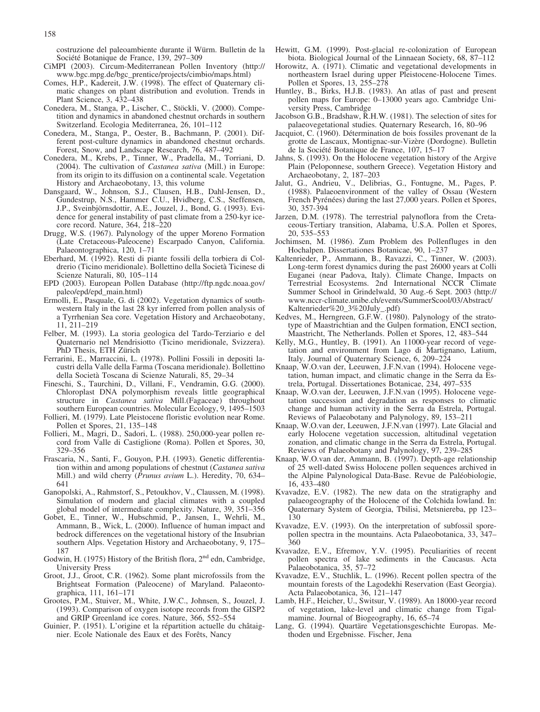costruzione del paleoambiente durante il Würm. Bulletin de la Société Botanique de France, 139, 297–309

- CiMPI (2003). Circum-Mediterranean Pollen Inventory (http:// www.bgc.mpg.de/bgc\_prentice/projects/cimbio/maps.html)
- Comes, H.P., Kadereit, J.W. (1998). The effect of Quaternary climatic changes on plant distribution and evolution. Trends in Plant Science, 3, 432–438
- Conedera, M., Stanga, P., Lischer, C., Stöckli, V. (2000). Competition and dynamics in abandoned chestnut orchards in southern Switzerland. Ecologia Mediterranea, 26, 101–112
- Conedera, M., Stanga, P., Oester, B., Bachmann, P. (2001). Different post-culture dynamics in abandoned chestnut orchards. Forest, Snow, and Landscape Research, 76, 487–492
- Conedera, M., Krebs, P., Tinner, W., Pradella, M., Torriani, D. (2004). The cultivation of Castanea sativa (Mill.) in Europe: from its origin to its diffusion on a continental scale. Vegetation History and Archaeobotany, 13, this volume
- Dansgaard, W., Johnson, S.J., Clausen, H.B., Dahl-Jensen, D., Gundestrup, N.S., Hammer C.U., Hvidberg, C.S., Steffensen, J.P., Sveinbj rnsdottir, A.E., Jouzel, J., Bond, G. (1993). Evidence for general instability of past climate from a 250-kyr icecore record. Nature, 364, 218–220
- Drugg, W.S. (1967). Palynology of the upper Moreno Formation (Late Cretaceous-Paleocene) Escarpado Canyon, California. Palaeontographica, 120, 1–71
- Eberhard, M. (1992). Resti di piante fossili della torbiera di Coldrerio (Ticino meridionale). Bollettino della Società Ticinese di Scienze Naturali, 80, 105–114
- EPD (2003). European Pollen Database (http://ftp.ngdc.noaa.gov/ paleo/epd/epd\_main.html)
- Ermolli, E., Pasquale, G. di (2002). Vegetation dynamics of southwestern Italy in the last 28 kyr inferred from pollen analysis of a Tyrrhenian Sea core. Vegetation History and Archaeobotany, 11, 211–219
- Felber, M. (1993). La storia geologica del Tardo-Terziario e del Quaternario nel Mendrisiotto (Ticino meridionale, Svizzera). PhD Thesis, ETH Zürich
- Ferrarini, E., Marraccini, L. (1978). Pollini Fossili in depositi lacustri della Valle della Farma (Toscana meridionale). Bollettino della Società Toscana di Scienze Naturali, 85, 29-34
- Fineschi, S., Taurchini, D., Villani, F., Vendramin, G.G. (2000). Chloroplast DNA polymorphism reveals little geographical structure in Castanea sativa Mill.(Fagaceae) throughout southern European countries. Molecular Ecology, 9, 1495–1503
- Follieri, M. (1979). Late Pleistocene floristic evolution near Rome. Pollen et Spores, 21, 135–148
- Follieri, M., Magri, D., Sadori, L. (1988). 250,000-year pollen record from Valle di Castiglione (Roma). Pollen et Spores, 30, 329–356
- Frascaria, N., Santi, F., Gouyon, P.H. (1993). Genetic differentiation within and among populations of chestnut (Castanea sativa Mill.) and wild cherry (Prunus avium L.). Heredity, 70, 634– 641
- Ganopolski, A., Rahmstorf, S., Petoukhov, V., Claussen, M. (1998). Simulation of modern and glacial climates with a coupled global model of intermediate complexity. Nature, 39, 351–356
- Gobet, E., Tinner, W., Hubschmid, P., Jansen, I., Wehrli, M., Ammann, B., Wick, L. (2000). Influence of human impact and bedrock differences on the vegetational history of the Insubrian southern Alps. Vegetation History and Archaeobotany, 9, 175– 187
- Godwin, H. (1975) History of the British flora,  $2<sup>nd</sup>$  edn, Cambridge, University Press
- Groot, J.J., Groot, C.R. (1962). Some plant microfossils from the Brightseat Formation (Paleocene) of Maryland. Palaeontographica, 111, 161–171
- Grootes, P.M., Stuiver, M., White, J.W.C., Johnsen, S., Jouzel, J. (1993). Comparison of oxygen isotope records from the GISP2 and GRIP Greenland ice cores. Nature, 366, 552–554
- Guinier, P. (1951). L'origine et la répartition actuelle du châtaignier. Ecole Nationale des Eaux et des Forêts, Nancy
- Hewitt, G.M. (1999). Post-glacial re-colonization of European biota. Biological Journal of the Linnaean Society, 68, 87–112
- Horowitz, A. (1971). Climatic and vegetational developments in northeastern Israel during upper Pleistocene-Holocene Times. Pollen et Spores, 13, 255–278
- Huntley, B., Birks, H.J.B. (1983). An atlas of past and present pollen maps for Europe: 0–13000 years ago. Cambridge University Press, Cambridge
- Jacobson G.B., Bradshaw, R.H.W. (1981). The selection of sites for palaeovegetational studies. Quaternary Research, 16, 80–96
- Jacquiot, C. (1960). Détermination de bois fossiles provenant de la grotte de Lascaux, Montignac-sur-Vizère (Dordogne). Bulletin de la Société Botanique de France, 107, 15–17
- Jahns, S. (1993). On the Holocene vegetation history of the Argive Plain (Peloponnese, southern Greece). Vegetation History and Archaeobotany, 2, 187–203
- Jalut, G., Andrieu, V., Delibrias, G., Fontugne, M., Pages, P. (1988). Palaeoenvironment of the valley of Ossau (Western French Pyrénées) during the last 27,000 years. Pollen et Spores, 30, 357-394
- Jarzen, D.M. (1978). The terrestrial palynoflora from the Cretaceous-Tertiary transition, Alabama, U.S.A. Pollen et Spores, 20, 535–553
- Jochimsen, M. (1986). Zum Problem des Pollenfluges in den Hochalpen. Dissertationes Botanicae, 90, 1–237
- Kaltenrieder, P., Ammann, B., Ravazzi, C., Tinner, W. (2003). Long-term forest dynamics during the past 26000 years at Colli Euganei (near Padova, Italy). Climate Change, Impacts on Terrestrial Ecosystems. 2nd International NCCR Climate Summer School in Grindelwald, 30 Aug.-6 Sept. 2003 (http:// www.nccr-climate.unibe.ch/events/SummerScool/03/Abstract/ Kaltenrieder%20\_3%20July\_.pdf)
- Kedves, M., Herngreen, G.F.W. (1980). Palynology of the stratotype of Maastrichtian and the Gulpen formation, ENCI section, Maastricht, The Netherlands. Pollen et Spores, 12, 483–544
- Kelly, M.G., Huntley, B. (1991). An 11000-year record of vegetation and environment from Lago di Martignano, Latium, Italy. Journal of Quaternary Science, 6, 209–224
- Knaap, W.O.van der, Leeuwen, J.F.N.van (1994). Holocene vegetation, human impact, and climatic change in the Serra da Estrela, Portugal. Dissertationes Botanicae, 234, 497–535
- Knaap, W.O.van der, Leeuwen, J.F.N.van (1995). Holocene vegetation succession and degradation as responses to climatic change and human activity in the Serra da Estrela, Portugal. Reviews of Palaeobotany and Palynology, 89, 153–211
- Knaap, W.O.van der, Leeuwen, J.F.N.van (1997). Late Glacial and early Holocene vegetation succession, altitudinal vegetation zonation, and climatic change in the Serra da Estrela, Portugal. Reviews of Palaeobotany and Palynology, 97, 239–285
- Knaap, W.O.van der, Ammann, B. (1997). Depth-age relationship of 25 well-dated Swiss Holocene pollen sequences archived in the Alpine Palynological Data-Base. Revue de Paléobiologie, 16, 433–480
- Kvavadze, E.V. (1982). The new data on the stratigraphy and palaeogeography of the Holocene of the Colchida lowland. In: Quaternary System of Georgia, Tbilisi, Metsniereba, pp 123– 130
- Kvavadze, E.V. (1993). On the interpretation of subfossil sporepollen spectra in the mountains. Acta Palaeobotanica, 33, 347– 360
- Kvavadze, E.V., Efremov, Y.V. (1995). Peculiarities of recent pollen spectra of lake sediments in the Caucasus. Acta Palaeobotanica, 35, 57–72
- Kvavadze, E.V., Stuchlik, L. (1996). Recent pollen spectra of the mountain forests of the Lagodekhi Reservation (East Georgia). Acta Palaeobotanica, 36, 121–147
- Lamb, H.F., Heicher, U., Switsur, V. (1989). An 18000-year record of vegetation, lake-level and climatic change from Tigalmamine. Journal of Biogeography, 16, 65–74
- Lang, G. (1994). Quartäre Vegetationsgeschichte Europas. Methoden und Ergebnisse. Fischer, Jena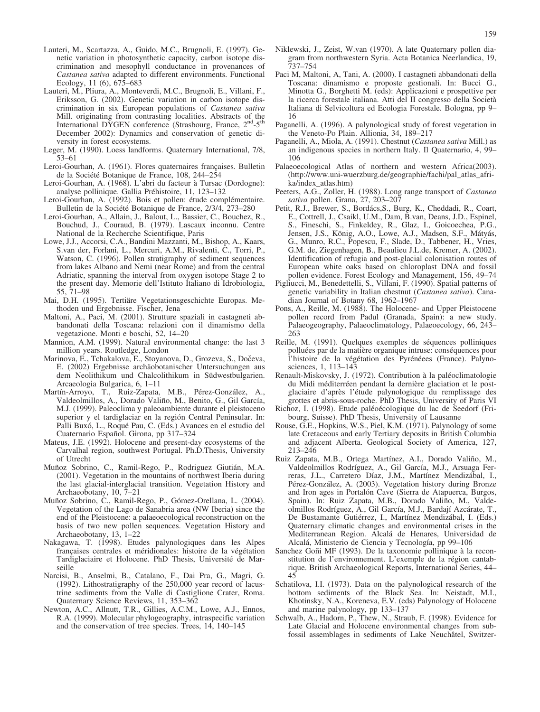- Lauteri, M., Scartazza, A., Guido, M.C., Brugnoli, E. (1997). Genetic variation in photosynthetic capacity, carbon isotope discrimination and mesophyll conductance in provenances of Castanea sativa adapted to different environments. Functional Ecology, 11 (6), 675–683
- Lauteri, M., Pliura, A., Monteverdi, M.C., Brugnoli, E., Villani, F., Eriksson, G. (2002). Genetic variation in carbon isotope discrimination in six European populations of Castanea sativa Mill. originating from contrasting localities. Abstracts of the International DYGEN conference (Strasbourg, France, 2<sup>nd</sup>-5<sup>th</sup> December 2002): Dynamics and conservation of genetic diversity in forest ecosystems.
- Leger, M. (1990). Loess landforms. Quaternary International, 7/8, 53–61
- Leroi-Gourhan, A. (1961). Flores quaternaires françaises. Bulletin de la Société Botanique de France, 108, 244-254
- Leroi-Gourhan, A. (1968). L'abri du facteur à Tursac (Dordogne): analyse pollinique. Gallia Préhistoire, 11, 123-132
- Leroi-Gourhan, A. (1992). Bois et pollen: étude complémentaire. Bulletin de la Société Botanique de France, 2/3/4, 273-280
- Leroi-Gourhan, A., Allain, J., Balout, L., Bassier, C., Bouchez, R., Bouchud, J., Couraud, B. (1979). Lascaux inconnu. Centre National de la Recherche Scientifique, Paris
- Lowe, J.J., Accorsi, C.A., Bandini Mazzanti, M., Bishop, A., Kaars, S.van der, Forlani, L., Mercuri, A.M., Rivalenti, C., Torri, P., Watson, C. (1996). Pollen stratigraphy of sediment sequences from lakes Albano and Nemi (near Rome) and from the central Adriatic, spanning the interval from oxygen isotope Stage 2 to the present day. Memorie dell'Istituto Italiano di Idrobiologia, 55, 71–98
- Mai, D.H. (1995). Tertiäre Vegetationsgeschichte Europas. Methoden und Ergebnisse. Fischer, Jena
- Maltoni, A., Paci, M. (2001). Strutture spaziali in castagneti abbandonati della Toscana: relazioni con il dinamismo della vegetazione. Monti e boschi, 52, 14–20
- Mannion, A.M. (1999). Natural environmental change: the last 3 million years. Routledge, London
- Marinova, E., Tchakalova, E., Stoyanova, D., Grozeva, S., Dočeva, E. (2002) Ergebnisse archäobotanischer Untersuchungen aus dem Neolithikum und Chalcolithikum in Südwestbulgarien. Arcaeologia Bulgarica, 6, 1–11
- Martín-Arroyo, T., Ruiz-Zapata, M.B., Pérez-González, A., Valdeolmillos, A., Dorado Valiño, M., Benito, G., Gil García, M.J. (1999). Paleoclima y paleoambiente durante el pleistoceno superior y el tardiglaciar en la región Central Peninsular. In: Palli Buxó, L., Roqué Pau, C. (Eds.) Avances en el estudio del Cuaternario Español. Girona, pp 317-324
- Mateus, J.E. (1992). Holocene and present-day ecosystems of the Carvalhal region, southwest Portugal. Ph.D.Thesis, University of Utrecht
- Muñoz Sobrino, C., Ramil-Rego, P., Rodriguez Giutián, M.A. (2001). Vegetation in the mountains of northwest Iberia during the last glacial-interglacial transition. Vegetation History and Archaeobotany, 10, 7–21
- Muñoz Sobrino, C., Ramil-Rego, P., Gómez-Orellana, L. (2004). Vegetation of the Lago de Sanabria area (NW Iberia) since the end of the Pleistocene: a palaeoecological reconstruction on the basis of two new pollen sequences. Vegetation History and Archaeobotany, 13, 1–22
- Nakagawa, T. (1998). Etudes palynologiques dans les Alpes francaises centrales et méridionales: histoire de la végétation Tardiglaciaire et Holocene. PhD Thesis, Université de Marseille
- Narcisi, B., Anselmi, B., Catalano, F., Dai Pra, G., Magri, G. (1992). Lithostratigraphy of the 250,000 year record of lacustrine sediments from the Valle di Castiglione Crater, Roma. Quaternary Science Reviews, 11, 353–362
- Newton, A.C., Allnutt, T.R., Gillies, A.C.M., Lowe, A.J., Ennos, R.A. (1999). Molecular phylogeography, intraspecific variation and the conservation of tree species. Trees, 14, 140–145
- Niklewski, J., Zeist, W.van (1970). A late Quaternary pollen diagram from northwestern Syria. Acta Botanica Neerlandica, 19, 737–754
- Paci M, Maltoni, A, Tani, A. (2000). I castagneti abbandonati della Toscana: dinamismo e proposte gestionali. In: Bucci G., Minotta G., Borghetti M. (eds): Applicazioni e prospettive per la ricerca forestale italiana. Atti del II congresso della Societ Italiana di Selvicoltura ed Ecologia Forestale. Bologna, pp 9– 16
- Paganelli, A. (1996). A palynological study of forest vegetation in the Veneto-Po Plain. Allionia, 34, 189–217
- Paganelli, A., Miola, A. (1991). Chestnut (Castanea sativa Mill.) as an indigenous species in northern Italy. Il Quaternario, 4, 99– 106
- Palaeoecological Atlas of northern and western Africa(2003). (http://www.uni-wuerzburg.de/geographie/fachi/pal\_atlas\_afrika/index\_atlas.htm)
- Peeters, A.G., Zoller, H. (1988). Long range transport of Castanea sativa pollen. Grana, 27, 203–207
- Petit, R.J., Brewer, S., Bordács, S., Burg, K., Cheddadi, R., Coart, E., Cottrell, J., Csaikl, U.M., Dam, B.van, Deans, J.D., Espinel, S., Fineschi, S., Finkeldey, R., Glaz, I., Goicoechea, P.G., Jensen, J.S., König, A.O., Lowe, A.J., Madsen, S.F., Mátyás, G., Munro, R.C., Popescu, F., Slade, D., Tabbener, H., Vries, G.M. de, Ziegenhagen, B., Beaulieu J.L.de, Kremer, A. (2002). Identification of refugia and post-glacial colonisation routes of European white oaks based on chloroplast DNA and fossil pollen evidence. Forest Ecology and Management, 156, 49–74
- Pigliucci, M., Benedettelli, S., Villani, F. (1990). Spatial patterns of genetic variability in Italian chestnut (Castanea sativa). Canadian Journal of Botany 68, 1962–1967
- Pons, A., Reille, M. (1988). The Holocene- and Upper Pleistocene pollen record from Padul (Granada, Spain): a new study. Palaeogeography, Palaeoclimatology, Palaeoecology, 66, 243– 263
- Reille, M. (1991). Quelques exemples de séquences polliniques polluées par de la matière organique intruse: conséquences pour l'histoire de la végétation des Pyrénéees (France). Palynosciences, 1, 113–143
- Renault-Miskovsky, J. (1972). Contribution à la paléoclimatologie du Midi méditerréen pendant la dernière glaciation et le postglaciaire d'après l'étude palynologique du remplissage des grottes et abris-sous-roche. PhD Thesis, University of Paris VI
- Richoz, I. (1998). Etude paléoécologique du lac de Seedorf (Fribourg, Suisse). PhD Thesis, University of Lausanne
- Rouse, G.E., Hopkins, W.S., Piel, K.M. (1971). Palynology of some late Cretaceous and early Tertiary deposits in British Columbia and adjacent Alberta. Geological Society of America, 127, 213–246
- Ruiz Zapata, M.B., Ortega Martínez, A.I., Dorado Valiño, M., Valdeolmillos Rodríguez, A., Gil García, M.J., Arsuaga Ferreras, J.L., Carretero Díaz, J.M., Martínez Mendizábal, I., Pérez-González, A. (2003). Vegetation history during Bronze and Iron ages in Portalón Cave (Sierra de Atapuerca, Burgos, Spain). In: Ruiz Zapata, M.B., Dorado Valiño, M., Valdeolmillos Rodríguez, A., Gil García, M.J., Bardají Azcárate, T., De Bustamante Gutiérrez, I., Martínez Mendizábal, I. (Eds.) Quaternary climatic changes and environmental crises in the Mediterranean Region. Alcalá de Henares, Universidad de Alcalá, Ministerio de Ciencia y Tecnología, pp 99-106
- Sanchez Goñi MF (1993). De la taxonomie pollinique à la reconstitution de l'environnement. L'exemple de la région cantabrique. British Archaeological Reports, International Series, 44– 45
- Schatilova, I.I. (1973). Data on the palynological research of the bottom sediments of the Black Sea. In: Neistadt, M.I., Khotinsky, N.A., Koreneva, E.V. (eds) Palynology of Holocene and marine palynology, pp 133–137
- Schwalb, A., Hadorn, P., Thew, N., Straub, F. (1998). Evidence for Late Glacial and Holocene environmental changes from subfossil assemblages in sediments of Lake Neuchâtel, Switzer-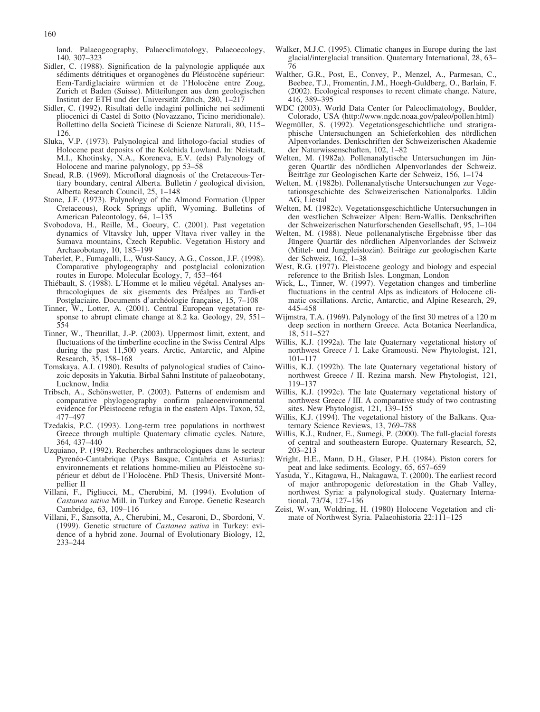land. Palaeogeography, Palaeoclimatology, Palaeoecology, 140, 307–323

- Sidler, C. (1988). Signification de la palynologie appliquée aux sédiments détritiques et organogènes du Pléistocène supérieur: Eem-Tardiglaciaire würmien et de l'Holocène entre Zoug, Zurich et Baden (Suisse). Mitteilungen aus dem geologischen Institut der ETH und der Universität Zürich, 280, 1-217
- Sidler, C. (1992). Risultati delle indagini polliniche nei sedimenti pliocenici di Castel di Sotto (Novazzano, Ticino meridionale). Bollettino della Società Ticinese di Scienze Naturali, 80, 115– 126.
- Sluka, V.P. (1973). Palynological and lithologo-facial studies of Holocene peat deposits of the Kolchida Lowland. In: Neistadt, M.I., Khotinsky, N.A., Koreneva, E.V. (eds) Palynology of Holocene and marine palynology, pp 53–58
- Snead, R.B. (1969). Microfloral diagnosis of the Cretaceous-Tertiary boundary, central Alberta. Bulletin / geological division, Alberta Research Council, 25, 1–148
- Stone, J.F. (1973). Palynology of the Almond Formation (Upper Cretaceous), Rock Springs uplift, Wyoming. Bulletins of American Paleontology, 64, 1–135
- Svobodova, H., Reille, M., Goeury, C. (2001). Past vegetation dynamics of Vltavsky luh, upper Vltava river valley in the Sumava mountains, Czech Republic. Vegetation History and Archaeobotany, 10, 185–199
- Taberlet, P., Fumagalli, L., Wust-Saucy, A.G., Cosson, J.F. (1998). Comparative phylogeography and postglacial colonization routes in Europe. Molecular Ecology, 7, 453–464
- Thiébault, S. (1988). L'Homme et le milieu végétal. Analyses anthracologiques de six gisements des Préalpes au Tardi-et Postglaciaire. Documents d'archéologie française, 15, 7–108
- Tinner, W., Lotter, A. (2001). Central European vegetation response to abrupt climate change at 8.2 ka. Geology, 29, 551– 554
- Tinner, W., Theurillat, J.-P. (2003). Uppermost limit, extent, and fluctuations of the timberline ecocline in the Swiss Central Alps during the past 11,500 years. Arctic, Antarctic, and Alpine Research, 35, 158–168
- Tomskaya, A.I. (1980). Results of palynological studies of Cainozoic deposits in Yakutia. Birbal Sahni Institute of palaeobotany, Lucknow, India
- Tribsch, A., Schönswetter, P. (2003). Patterns of endemism and comparative phylogeography confirm palaeoenvironmental evidence for Pleistocene refugia in the eastern Alps. Taxon, 52, 477–497
- Tzedakis, P.C. (1993). Long-term tree populations in northwest Greece through multiple Quaternary climatic cycles. Nature, 364, 437–440
- Uzquiano, P. (1992). Recherches anthracologiques dans le secteur Pyrenéo-Cantabrique (Pays Basque, Cantabria et Asturias): environnements et relations homme-milieu au Pléistocène supérieur et début de l'Holocène. PhD Thesis, Université Montpellier II
- Villani, F., Pigliucci, M., Cherubini, M. (1994). Evolution of Castanea sativa Mill. in Turkey and Europe. Genetic Research Cambridge, 63, 109–116
- Villani, F., Sansotta, A., Cherubini, M., Cesaroni, D., Sbordoni, V. (1999). Genetic structure of Castanea sativa in Turkey: evidence of a hybrid zone. Journal of Evolutionary Biology, 12, 233–244
- Walker, M.J.C. (1995). Climatic changes in Europe during the last glacial/interglacial transition. Quaternary International, 28, 63– 76
- Walther, G.R., Post, E., Convey, P., Menzel, A., Parmesan, C. Beebee, T.J., Fromentin, J.M., Hoegh-Guldberg, O., Barlain, F. (2002). Ecological responses to recent climate change. Nature, 416, 389–395
- WDC (2003). World Data Center for Paleoclimatology, Boulder, Colorado, USA (http://www.ngdc.noaa.gov/paleo/pollen.html)
- Wegmüller, S. (1992). Vegetationsgeschichtliche und stratigraphische Untersuchungen an Schieferkohlen des nördlichen Alpenvorlandes. Denkschriften der Schweizerischen Akademie der Naturwissenschaften, 102, 1–82
- Welten, M. (1982a). Pollenanalytische Untersuchungen im Jüngeren Quartär des nördlichen Alpenvorlandes der Schweiz. Beitr
ge zur Geologischen Karte der Schweiz, 156, 1–174
- Welten, M. (1982b). Pollenanalytische Untersuchungen zur Vegetationsgeschichte des Schweizerischen Nationalparks. Lüdin AG, Liestal
- Welten, M. (1982c). Vegetationsgeschichtliche Untersuchungen in den westlichen Schweizer Alpen: Bern-Wallis. Denkschriften der Schweizerischen Naturforschenden Gesellschaft, 95, 1–104
- Welten, M. (1988). Neue pollenanalytische Ergebnisse über das Jüngere Quartär des nördlichen Alpenvorlandes der Schweiz (Mittel- und Jungpleistozän). Beiträge zur geologischen Karte der Schweiz, 162, 1–38
- West, R.G. (1977). Pleistocene geology and biology and especial reference to the British Isles. Longman, London
- Wick, L., Tinner, W. (1997). Vegetation changes and timberline fluctuations in the central Alps as indicators of Holocene climatic oscillations. Arctic, Antarctic, and Alpine Research, 29, 445–458
- Wijmstra, T.A. (1969). Palynology of the first 30 metres of a 120 m deep section in northern Greece. Acta Botanica Neerlandica, 18, 511–527
- Willis, K.J. (1992a). The late Quaternary vegetational history of northwest Greece / I. Lake Gramousti. New Phytologist, 121, 101–117
- Willis, K.J. (1992b). The late Quaternary vegetational history of northwest Greece / II. Rezina marsh. New Phytologist, 121, 119–137
- Willis, K.J. (1992c). The late Quaternary vegetational history of northwest Greece / III. A comparative study of two contrasting sites. New Phytologist, 121, 139–155
- Willis, K.J. (1994). The vegetational history of the Balkans. Quaternary Science Reviews, 13, 769–788
- Willis, K.J., Rudner, E., Sumegi, P. (2000). The full-glacial forests of central and southeastern Europe. Quaternary Research, 52, 203–213
- Wright, H.E., Mann, D.H., Glaser, P.H. (1984). Piston corers for peat and lake sediments. Ecology, 65, 657–659
- Yasuda, Y., Kitagawa, H., Nakagawa, T. (2000). The earliest record of major anthropogenic deforestation in the Ghab Valley, northwest Syria: a palynological study. Quaternary International, 73/74, 127–136
- Zeist, W.van, Woldring, H. (1980) Holocene Vegetation and climate of Northwest Syria. Palaeohistoria 22:111–125